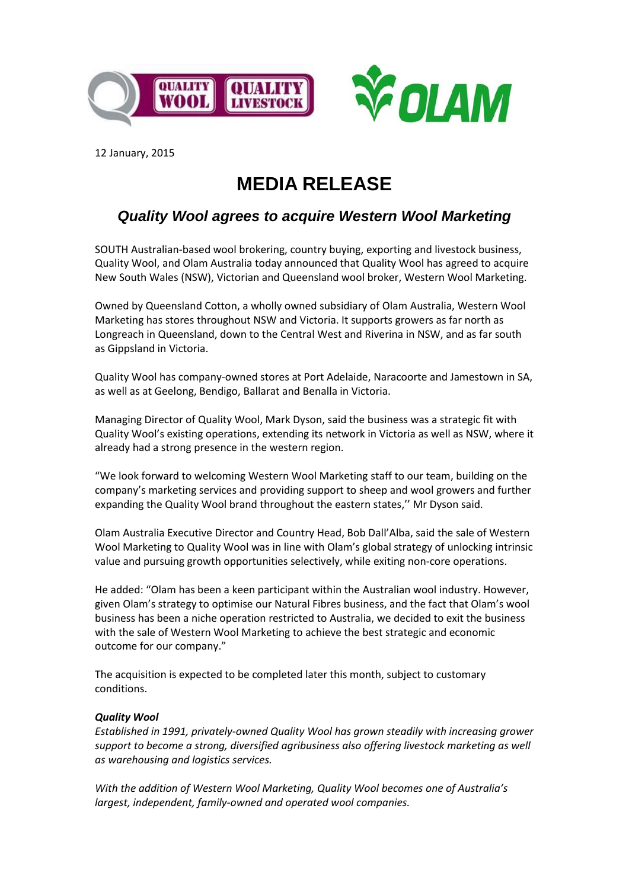

12 January, 2015

## **MEDIA RELEASE**

## *Quality Wool agrees to acquire Western Wool Marketing*

SOUTH Australian-based wool brokering, country buying, exporting and livestock business, Quality Wool, and Olam Australia today announced that Quality Wool has agreed to acquire New South Wales (NSW), Victorian and Queensland wool broker, Western Wool Marketing.

Owned by Queensland Cotton, a wholly owned subsidiary of Olam Australia, Western Wool Marketing has stores throughout NSW and Victoria. It supports growers as far north as Longreach in Queensland, down to the Central West and Riverina in NSW, and as far south as Gippsland in Victoria.

Quality Wool has company-owned stores at Port Adelaide, Naracoorte and Jamestown in SA, as well as at Geelong, Bendigo, Ballarat and Benalla in Victoria.

Managing Director of Quality Wool, Mark Dyson, said the business was a strategic fit with Quality Wool's existing operations, extending its network in Victoria as well as NSW, where it already had a strong presence in the western region.

"We look forward to welcoming Western Wool Marketing staff to our team, building on the company's marketing services and providing support to sheep and wool growers and further expanding the Quality Wool brand throughout the eastern states,'' Mr Dyson said.

Olam Australia Executive Director and Country Head, Bob Dall'Alba, said the sale of Western Wool Marketing to Quality Wool was in line with Olam's global strategy of unlocking intrinsic value and pursuing growth opportunities selectively, while exiting non-core operations.

He added: "Olam has been a keen participant within the Australian wool industry. However, given Olam's strategy to optimise our Natural Fibres business, and the fact that Olam's wool business has been a niche operation restricted to Australia, we decided to exit the business with the sale of Western Wool Marketing to achieve the best strategic and economic outcome for our company."

The acquisition is expected to be completed later this month, subject to customary conditions.

## *Quality Wool*

*Established in 1991, privately-owned Quality Wool has grown steadily with increasing grower support to become a strong, diversified agribusiness also offering livestock marketing as well as warehousing and logistics services.*

*With the addition of Western Wool Marketing, Quality Wool becomes one of Australia's largest, independent, family-owned and operated wool companies.*